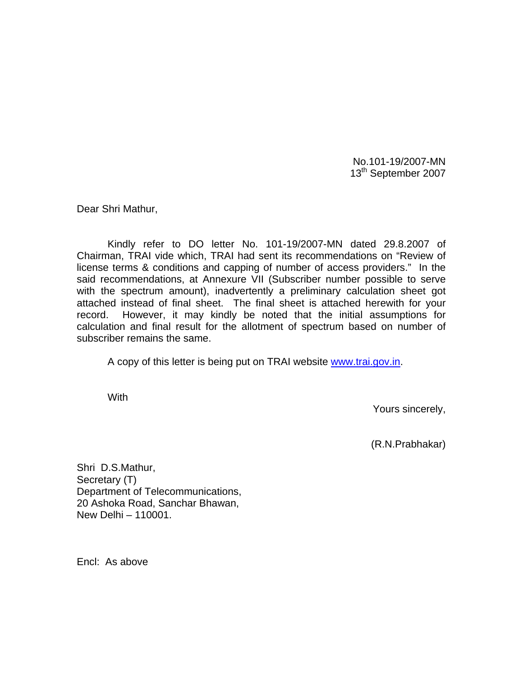No.101-19/2007-MN 13<sup>th</sup> September 2007

Dear Shri Mathur,

 Kindly refer to DO letter No. 101-19/2007-MN dated 29.8.2007 of Chairman, TRAI vide which, TRAI had sent its recommendations on "Review of license terms & conditions and capping of number of access providers." In the said recommendations, at Annexure VII (Subscriber number possible to serve with the spectrum amount), inadvertently a preliminary calculation sheet got attached instead of final sheet. The final sheet is attached herewith for your record. However, it may kindly be noted that the initial assumptions for calculation and final result for the allotment of spectrum based on number of subscriber remains the same.

A copy of this letter is being put on TRAI website [www.trai.gov.in.](http://www.trai.gov.in/)

**With** 

Yours sincerely,

(R.N.Prabhakar)

Shri D.S.Mathur, Secretary (T) Department of Telecommunications, 20 Ashoka Road, Sanchar Bhawan, New Delhi – 110001.

Encl: As above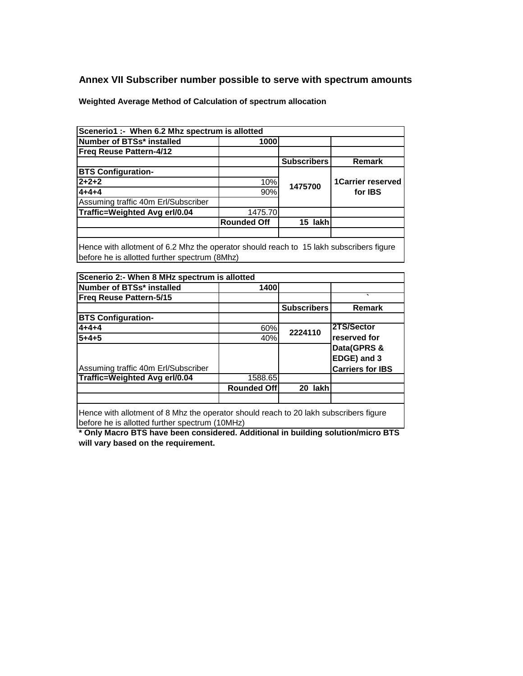## **Annex VII Subscriber number possible to serve with spectrum amounts**

**Weighted Average Method of Calculation of spectrum allocation**

| Scenerio1 :- When 6.2 Mhz spectrum is allotted |                    |                    |                               |
|------------------------------------------------|--------------------|--------------------|-------------------------------|
| Number of BTSs* installed                      | 1000               |                    |                               |
| Freg Reuse Pattern-4/12                        |                    |                    |                               |
|                                                |                    | <b>Subscribers</b> | Remark                        |
| <b>BTS Configuration-</b>                      |                    |                    |                               |
| $2 + 2 + 2$                                    | 10%                | 1475700            | 1 Carrier reserved<br>for IBS |
| $4 + 4 + 4$                                    | 90%                |                    |                               |
| Assuming traffic 40m Erl/Subscriber            |                    |                    |                               |
| Traffic=Weighted Avg erl/0.04                  | 1475.70            |                    |                               |
|                                                | <b>Rounded Off</b> | 15 lakh            |                               |
|                                                |                    |                    |                               |
|                                                |                    |                    |                               |

Hence with allotment of 6.2 Mhz the operator should reach to 15 lakh subscribers figure before he is allotted further spectrum (8Mhz)

| Scenerio 2:- When 8 MHz spectrum is allotted |                    |                    |                         |
|----------------------------------------------|--------------------|--------------------|-------------------------|
| Number of BTSs* installed                    | 1400               |                    |                         |
| Freq Reuse Pattern-5/15                      |                    |                    | $\cdot$                 |
|                                              |                    | <b>Subscribers</b> | Remark                  |
| <b>BTS Configuration-</b>                    |                    |                    |                         |
| $4 + 4 + 4$                                  | 60%                | 2224110            | 2TS/Sector              |
| $5 + 4 + 5$                                  | 40%                |                    | reserved for            |
|                                              |                    |                    | Data(GPRS &             |
|                                              |                    |                    | EDGE) and 3             |
| Assuming traffic 40m Erl/Subscriber          |                    |                    | <b>Carriers for IBS</b> |
| <b>Traffic=Weighted Avg erl/0.04</b>         | 1588.65            |                    |                         |
|                                              | <b>Rounded Off</b> | 20 lakh            |                         |
|                                              |                    |                    |                         |

Hence with allotment of 8 Mhz the operator should reach to 20 lakh subscribers figure before he is allotted further spectrum (10MHz)

**\* Only Macro BTS have been considered. Additional in building solution/micro BTS will vary based on the requirement.**